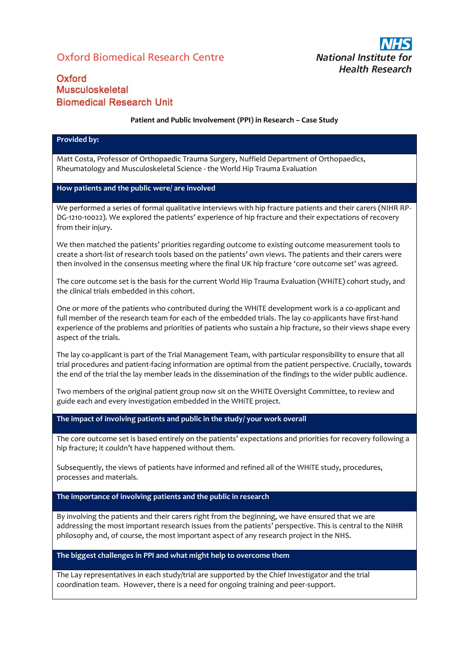# Oxford Biomedical Research Centre



## Oxford Musculoskeletal **Biomedical Research Unit**

#### **Patient and Public Involvement (PPI) in Research – Case Study**

#### **Provided by:**

Matt Costa, Professor of Orthopaedic Trauma Surgery, Nuffield Department of Orthopaedics, Rheumatology and Musculoskeletal Science - the World Hip Trauma Evaluation

### **How patients and the public were/ are involved**

We performed a series of formal qualitative interviews with hip fracture patients and their carers (NIHR RP-DG-1210-10022). We explored the patients' experience of hip fracture and their expectations of recovery from their injury.

We then matched the patients' priorities regarding outcome to existing outcome measurement tools to create a short-list of research tools based on the patients' own views. The patients and their carers were then involved in the consensus meeting where the final UK hip fracture 'core outcome set' was agreed.

The core outcome set is the basis for the current World Hip Trauma Evaluation (WHiTE) cohort study, and the clinical trials embedded in this cohort.

One or more of the patients who contributed during the WHiTE development work is a co-applicant and full member of the research team for each of the embedded trials. The lay co-applicants have first-hand experience of the problems and priorities of patients who sustain a hip fracture, so their views shape every aspect of the trials.

The lay co-applicant is part of the Trial Management Team, with particular responsibility to ensure that all trial procedures and patient-facing information are optimal from the patient perspective. Crucially, towards the end of the trial the lay member leads in the dissemination of the findings to the wider public audience.

Two members of the original patient group now sit on the WHiTE Oversight Committee, to review and guide each and every investigation embedded in the WHiTE project.

**The impact of involving patients and public in the study/ your work overall**

The core outcome set is based entirely on the patients' expectations and priorities for recovery following a hip fracture; it couldn't have happened without them.

Subsequently, the views of patients have informed and refined all of the WHiTE study, procedures, processes and materials.

### **The importance of involving patients and the public in research**

By involving the patients and their carers right from the beginning, we have ensured that we are addressing the most important research issues from the patients' perspective. This is central to the NIHR philosophy and, of course, the most important aspect of any research project in the NHS.

### **The biggest challenges in PPI and what might help to overcome them**

The Lay representatives in each study/trial are supported by the Chief Investigator and the trial coordination team. However, there is a need for ongoing training and peer-support.